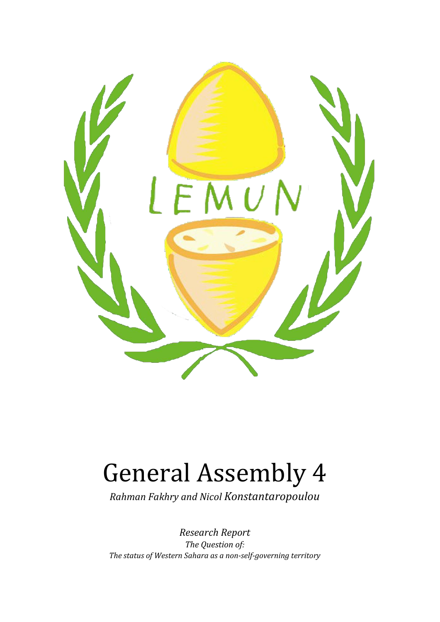

# General Assembly 4

*Rahman Fakhry and Nicol Konstantaropoulou*

*Research Report The Question of: The status of Western Sahara as a non-self-governing territory*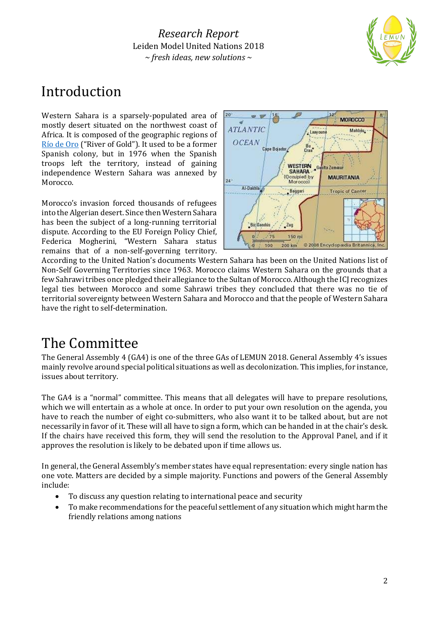

## Introduction

Western Sahara is a sparsely-populated area of mostly desert situated on the northwest coast of Africa. It is composed of the geographic regions of [Río de Oro](https://www.britannica.com/place/Rio-de-Oro) ("River of Gold"). It used to be a former Spanish colony, but in 1976 when the Spanish troops left the territory, instead of gaining independence Western Sahara was annexed by Morocco.

Morocco's invasion forced thousands of refugees into the Algerian desert. Since then Western Sahara has been the subject of a long-running territorial dispute. According to the EU Foreign Policy Chief, Federica Mogherini, "Western Sahara status remains that of a non-self-governing territory.



According to the United Nation's documents Western Sahara has been on the United Nations list of Non-Self Governing Territories since 1963. Morocco claims Western Sahara on the grounds that a few Sahrawi tribes once pledged their allegiance to the Sultan of Morocco. Although the ICJ recognizes legal ties between Morocco and some Sahrawi tribes they concluded that there was no tie of territorial sovereignty between Western Sahara and Morocco and that the people of Western Sahara have the right to self-determination.

## The Committee

The General Assembly 4 (GA4) is one of the three GAs of LEMUN 2018. General Assembly 4's issues mainly revolve around special political situations as well as decolonization. This implies, for instance, issues about territory.

The GA4 is a "normal" committee. This means that all delegates will have to prepare resolutions, which we will entertain as a whole at once. In order to put your own resolution on the agenda, you have to reach the number of eight co-submitters, who also want it to be talked about, but are not necessarily in favor of it. These will all have to sign a form, which can be handed in at the chair's desk. If the chairs have received this form, they will send the resolution to the Approval Panel, and if it approves the resolution is likely to be debated upon if time allows us.

In general, the General Assembly's member states have equal representation: every single nation has one vote. Matters are decided by a simple majority. Functions and powers of the General Assembly include:

- To discuss any question relating to international peace and security
- To make recommendations for the peaceful settlement of any situation which might harm the friendly relations among nations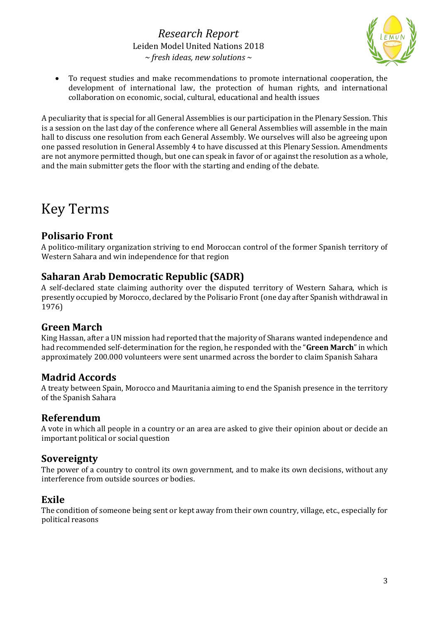

• To request studies and make recommendations to promote international cooperation, the development of international law, the protection of human rights, and international collaboration on economic, social, cultural, educational and health issues

A peculiarity that is special for all General Assemblies is our participation in the Plenary Session. This is a session on the last day of the conference where all General Assemblies will assemble in the main hall to discuss one resolution from each General Assembly. We ourselves will also be agreeing upon one passed resolution in General Assembly 4 to have discussed at this Plenary Session. Amendments are not anymore permitted though, but one can speak in favor of or against the resolution as a whole, and the main submitter gets the floor with the starting and ending of the debate.

## Key Terms

#### **Polisario Front**

A politico-military organization striving to end Moroccan control of the former Spanish territory of Western Sahara and win independence for that region

#### **Saharan Arab Democratic Republic (SADR)**

A self-declared state claiming authority over the disputed territory of Western Sahara, which is presently occupied by Morocco, declared by the Polisario Front (one day after Spanish withdrawal in 1976)

#### **Green March**

King Hassan, after a UN mission had reported that the majority of Sharans wanted independence and had recommended self-determination for the region, he responded with the "**Green March**" in which approximately 200.000 volunteers were sent unarmed across the border to claim Spanish Sahara

#### **Madrid Accords**

A treaty between Spain, Morocco and Mauritania aiming to end the Spanish presence in the territory of the Spanish Sahara

#### **Referendum**

A vote in which all people in a country or an area are asked to give their opinion about or decide an important political or social question

#### **Sovereignty**

The power of a country to control its own government, and to make its own decisions, without any interference from outside sources or bodies.

#### **Exile**

The condition of someone being sent or kept away from their own country, village, etc., especially for political reasons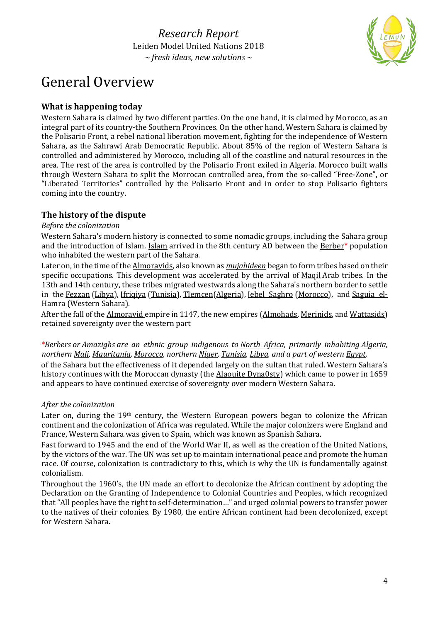

## General Overview

#### **What is happening today**

Western Sahara is claimed by two different parties. On the one hand, it is claimed by Morocco, as an integral part of its country-the Southern Provinces. On the other hand, Western Sahara is claimed by the Polisario Front, a rebel national liberation movement, fighting for the independence of Western Sahara, as the Sahrawi Arab Democratic Republic. About 85% of the region of Western Sahara is controlled and administered by Morocco, including all of the coastline and natural resources in the area. The rest of the area is controlled by the Polisario Front exiled in Algeria. Morocco built walls through Western Sahara to split the Morrocan controlled area, from the so-called "Free-Zone", or "Liberated Territories" controlled by the Polisario Front and in order to stop Polisario fighters coming into the country.

#### **The history of the dispute**

#### *Before the colonization*

Western Sahara's modern history is connected to some nomadic groups, including the Sahara group and the introduction of [Islam](https://en.wikipedia.org/wiki/Islam). Islam arrived in the 8th century AD between the Berber<sup>\*</sup> population who inhabited the western part of the Sahara.

Later on, in the time of the [Almoravids,](https://en.wikipedia.org/wiki/Almoravids) also known as *[mujahideen](https://en.wikipedia.org/wiki/Mujahideen)* began to form tribes based on their specific occupations. This development was accelerated by the arrival of [Maqil](https://en.wikipedia.org/wiki/Maqil) Arab tribes. In the 13th and 14th century, these tribes migrated westwards along the Sahara's northern border to settle in the [Fezzan](https://en.wikipedia.org/wiki/Fezzan) [\(Libya\)](https://en.wikipedia.org/wiki/Libya), [Ifriqiya](https://en.wikipedia.org/wiki/Ifriqiya) [\(Tunisia\)](https://en.wikipedia.org/wiki/Tunisia), [Tlemcen](https://en.wikipedia.org/wiki/Tlemcen)[\(Algeria\)](https://en.wikipedia.org/wiki/Algeria), [Jebel Saghro](https://en.wikipedia.org/w/index.php?title=Jebel_Saghro&action=edit&redlink=1) [\(Morocco\)](https://en.wikipedia.org/wiki/Morocco), and [Saguia el-](https://en.wikipedia.org/wiki/Saguia_el-Hamra)[Hamra](https://en.wikipedia.org/wiki/Saguia_el-Hamra) [\(Western Sahara\)](https://en.wikipedia.org/wiki/Western_Sahara).

After the fall of the **[Almoravid](https://en.wikipedia.org/wiki/Almoravid) empire in 1147**, the new empires [\(Almohads,](https://en.wikipedia.org/wiki/Almohads) [Merinids,](https://en.wikipedia.org/wiki/Merinids) and [Wattasids\)](https://en.wikipedia.org/wiki/Wattasids) retained sovereignty over the western part

*\*Berbers or Amazighs are an ethnic group indigenous to [North Africa,](https://en.wikipedia.org/wiki/North_Africa) primarily inhabiting [Algeria,](https://en.wikipedia.org/wiki/Algeria)  northern [Mali,](https://en.wikipedia.org/wiki/Mali) [Mauritania,](https://en.wikipedia.org/wiki/Mauritania) [Morocco,](https://en.wikipedia.org/wiki/Morocco) northern [Niger,](https://en.wikipedia.org/wiki/Niger) [Tunisia,](https://en.wikipedia.org/wiki/Tunisia) [Libya,](https://en.wikipedia.org/wiki/Libya) and a part of western [Egypt.](https://en.wikipedia.org/wiki/Egypt)* of the Sahara but the effectiveness of it depended largely on the sultan that ruled. Western Sahara's history continues with the Moroccan dynasty (the [Alaouite Dyna0sty\)](https://en.wikipedia.org/wiki/Alaouite_Dynasty) which came to power in 1659 and appears to have continued exercise of sovereignty over modern Western Sahara.

#### *After the colonization*

Later on, during the 19<sup>th</sup> century, the Western European powers began to colonize the African continent and the colonization of Africa was regulated. While the major colonizers were England and France, Western Sahara was given to Spain, which was known as Spanish Sahara.

Fast forward to 1945 and the end of the World War II, as well as the creation of the United Nations, by the victors of the war. The UN was set up to maintain international peace and promote the human race. Of course, colonization is contradictory to this, which is why the UN is fundamentally against colonialism.

Throughout the 1960's, the UN made an effort to decolonize the African continent by adopting the Declaration on the Granting of Independence to Colonial Countries and Peoples, which recognized that "All peoples have the right to self-determination…" and urged colonial powers to transfer power to the natives of their colonies. By 1980, the entire African continent had been decolonized, except for Western Sahara.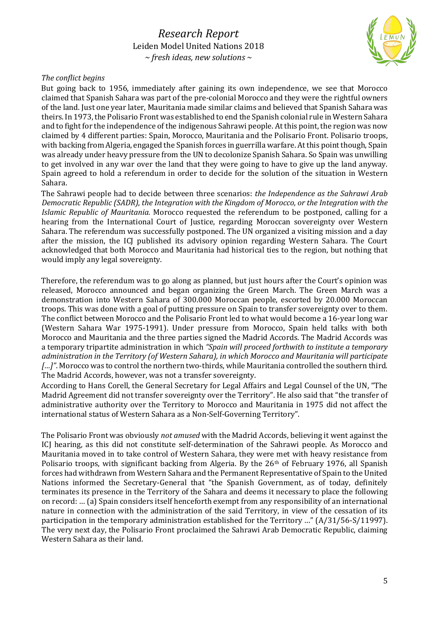

#### *The conflict begins*

But going back to 1956, immediately after gaining its own independence, we see that Morocco claimed that Spanish Sahara was part of the pre-colonial Morocco and they were the rightful owners of the land. Just one year later, Mauritania made similar claims and believed that Spanish Sahara was theirs. In 1973, the Polisario Front was established to end the Spanish colonial rule in Western Sahara and to fight for the independence of the indigenous Sahrawi people. At this point, the region was now claimed by 4 different parties: Spain, Morocco, Mauritania and the Polisario Front. Polisario troops, with backing from Algeria, engaged the Spanish forces in guerrilla warfare. At this point though, Spain was already under heavy pressure from the UN to decolonize Spanish Sahara. So Spain was unwilling to get involved in any war over the land that they were going to have to give up the land anyway. Spain agreed to hold a referendum in order to decide for the solution of the situation in Western Sahara.

The Sahrawi people had to decide between three scenarios: *the Independence as the Sahrawi Arab Democratic Republic (SADR)*, *the Integration with the Kingdom of Morocco, or the Integration with the Islamic Republic of Mauritania.* Morocco requested the referendum to be postponed, calling for a hearing from the International Court of Justice, regarding Moroccan sovereignty over Western Sahara. The referendum was successfully postponed. The UN organized a visiting mission and a day after the mission, the ICJ published its advisory opinion regarding Western Sahara. The Court acknowledged that both Morocco and Mauritania had historical ties to the region, but nothing that would imply any legal sovereignty.

Therefore, the referendum was to go along as planned, but just hours after the Court's opinion was released, Morocco announced and began organizing the Green March. The Green March was a demonstration into Western Sahara of 300.000 Moroccan people, escorted by 20.000 Moroccan troops. This was done with a goal of putting pressure on Spain to transfer sovereignty over to them. The conflict between Morocco and the Polisario Front led to what would become a 16-year long war (Western Sahara War 1975-1991). Under pressure from Morocco, Spain held talks with both Morocco and Mauritania and the three parties signed the Madrid Accords. The Madrid Accords was a temporary tripartite administration in which *"Spain will proceed forthwith to institute a temporary administration in the Territory (of Western Sahara), in which Morocco and Mauritania will participate […]"*. Morocco was to control the northern two-thirds, while Mauritania controlled the southern third. The Madrid Accords, however, was not a transfer sovereignty.

According to Hans Corell, the General Secretary for Legal Affairs and Legal Counsel of the UN, "The Madrid Agreement did not transfer sovereignty over the Territory". He also said that "the transfer of administrative authority over the Territory to Morocco and Mauritania in 1975 did not affect the international status of Western Sahara as a Non-Self-Governing Territory".

The Polisario Front was obviously *not amused* with the Madrid Accords, believing it went against the ICJ hearing, as this did not constitute self-determination of the Sahrawi people. As Morocco and Mauritania moved in to take control of Western Sahara, they were met with heavy resistance from Polisario troops, with significant backing from Algeria. By the  $26<sup>th</sup>$  of February 1976, all Spanish forces had withdrawn from Western Sahara and the Permanent Representative of Spain to the United Nations informed the Secretary-General that "the Spanish Government, as of today, definitely terminates its presence in the Territory of the Sahara and deems it necessary to place the following on record: … (a) Spain considers itself henceforth exempt from any responsibility of an international nature in connection with the administration of the said Territory, in view of the cessation of its participation in the temporary administration established for the Territory …" (A/31/56-S/11997). The very next day, the Polisario Front proclaimed the Sahrawi Arab Democratic Republic, claiming Western Sahara as their land.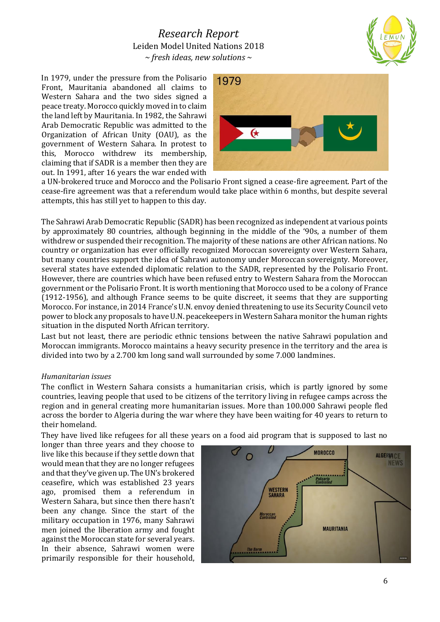In 1979, under the pressure from the Polisario Front, Mauritania abandoned all claims to Western Sahara and the two sides signed a peace treaty. Morocco quickly moved in to claim the land left by Mauritania. In 1982, the Sahrawi Arab Democratic Republic was admitted to the Organization of African Unity (OAU), as the government of Western Sahara. In protest to this, Morocco withdrew its membership, claiming that if SADR is a member then they are out. In 1991, after 16 years the war ended with



a UN-brokered truce and Morocco and the Polisario Front signed a cease-fire agreement. Part of the cease-fire agreement was that a referendum would take place within 6 months, but despite several attempts, this has still yet to happen to this day.

The Sahrawi Arab Democratic Republic (SADR) has been recognized as independent at various points by approximately 80 countries, although beginning in the middle of the '90s, a number of them withdrew or suspended their recognition. The majority of these nations are other African nations. No country or organization has ever officially recognized Moroccan sovereignty over Western Sahara, but many countries support the idea of Sahrawi autonomy under Moroccan sovereignty. Moreover, several states have extended diplomatic relation to the SADR, represented by the Polisario Front. However, there are countries which have been refused entry to Western Sahara from the Moroccan government or the Polisario Front. It is worth mentioning that Morocco used to be a colony of France (1912-1956), and although France seems to be quite discreet, it seems that they are supporting Morocco. For instance, in 2014 France's U.N. envoy denied threatening to use its Security Council veto power to block any proposals to have U.N. peacekeepers in Western Sahara monitor the human rights situation in the disputed North African territory.

Last but not least, there are periodic ethnic tensions between the native Sahrawi population and Moroccan immigrants. Morocco maintains a heavy security presence in the territory and the area is divided into two by a 2.700 km long sand wall surrounded by some 7.000 landmines.

#### *Humanitarian issues*

The conflict in Western Sahara consists a humanitarian crisis, which is partly ignored by some countries, leaving people that used to be citizens of the territory living in refugee camps across the region and in general creating more humanitarian issues. More than 100.000 Sahrawi people fled across the border to Algeria during the war where they have been waiting for 40 years to return to their homeland.

They have lived like refugees for all these years on a food aid program that is supposed to last no

longer than three years and they choose to live like this because if they settle down that would mean that they are no longer refugees and that they've given up. The UN's brokered ceasefire, which was established 23 years ago, promised them a referendum in Western Sahara, but since then there hasn't been any change. Since the start of the military occupation in 1976, many Sahrawi men joined the liberation army and fought against the Moroccan state for several years. In their absence, Sahrawi women were primarily responsible for their household,

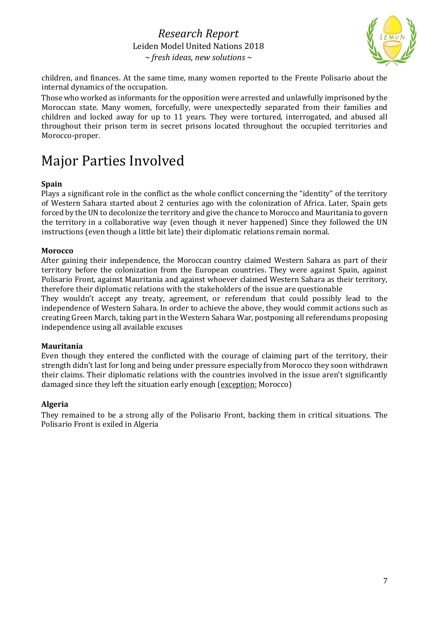

children, and finances. At the same time, many women reported to the Frente Polisario about the internal dynamics of the occupation.

Those who worked as informants for the opposition were arrested and unlawfully imprisoned by the Moroccan state. Many women, forcefully, were unexpectedly separated from their families and children and locked away for up to 11 years. They were tortured, interrogated, and abused all throughout their prison term in secret prisons located throughout the occupied territories and Morocco-proper.

## Major Parties Involved

#### **Spain**

Plays a significant role in the conflict as the whole conflict concerning the "identity" of the territory of Western Sahara started about 2 centuries ago with the colonization of Africa. Later, Spain gets forced by the UN to decolonize the territory and give the chance to Morocco and Mauritania to govern the territory in a collaborative way (even though it never happened) Since they followed the UN instructions (even though a little bit late) their diplomatic relations remain normal.

#### **Morocco**

After gaining their independence, the Moroccan country claimed Western Sahara as part of their territory before the colonization from the European countries. They were against Spain, against Polisario Front, against Mauritania and against whoever claimed Western Sahara as their territory, therefore their diplomatic relations with the stakeholders of the issue are questionable

They wouldn't accept any treaty, agreement, or referendum that could possibly lead to the independence of Western Sahara. In order to achieve the above, they would commit actions such as creating Green March, taking part in the Western Sahara War, postponing all referendums proposing independence using all available excuses

#### **Mauritania**

Even though they entered the conflicted with the courage of claiming part of the territory, their strength didn't last for long and being under pressure especially from Morocco they soon withdrawn their claims. Their diplomatic relations with the countries involved in the issue aren't significantly damaged since they left the situation early enough (exception: Morocco)

#### **Algeria**

They remained to be a strong ally of the Polisario Front, backing them in critical situations. The Polisario Front is exiled in Algeria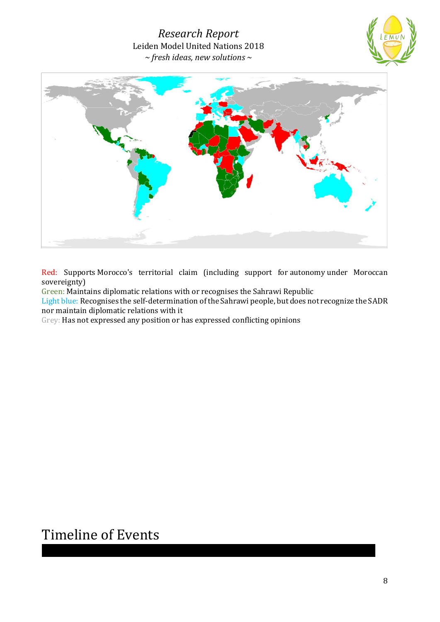



Red: Supports [Morocco'](https://en.wikipedia.org/wiki/Morocco)s territorial claim (including support for [autonomy](https://en.wikipedia.org/wiki/Autonomy) under Moroccan sovereignty)

Green: Maintains diplomatic relations with or recognises the Sahrawi Republic

Light blue: Recognises the [self-determination](https://en.wikipedia.org/wiki/Self-determination) of the Sahrawi people, but does not recognize the SADR nor maintain diplomatic relations with it

Grey: Has not expressed any position or has expressed conflicting opinions

## Timeline of Events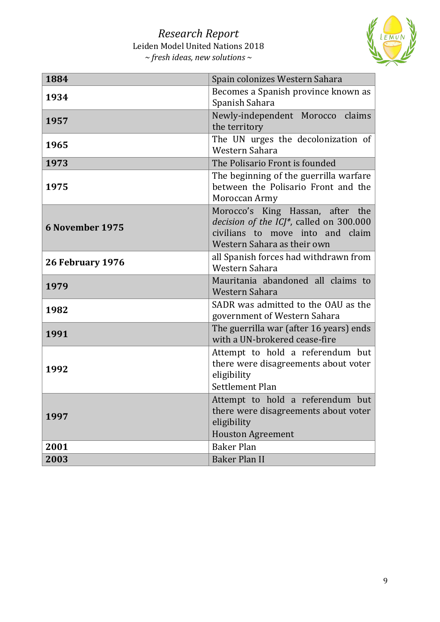

| 1884                   | Spain colonizes Western Sahara                                                                                                                 |
|------------------------|------------------------------------------------------------------------------------------------------------------------------------------------|
| 1934                   | Becomes a Spanish province known as<br>Spanish Sahara                                                                                          |
| 1957                   | Newly-independent Morocco claims<br>the territory                                                                                              |
| 1965                   | The UN urges the decolonization of<br>Western Sahara                                                                                           |
| 1973                   | The Polisario Front is founded                                                                                                                 |
| 1975                   | The beginning of the guerrilla warfare<br>between the Polisario Front and the<br>Moroccan Army                                                 |
| <b>6 November 1975</b> | Morocco's King Hassan, after the<br>decision of the ICJ*, called on 300.000<br>civilians to move into and claim<br>Western Sahara as their own |
| 26 February 1976       | all Spanish forces had withdrawn from<br>Western Sahara                                                                                        |
| 1979                   | Mauritania abandoned all claims to<br>Western Sahara                                                                                           |
| 1982                   | SADR was admitted to the OAU as the<br>government of Western Sahara                                                                            |
| 1991                   | The guerrilla war (after 16 years) ends<br>with a UN-brokered cease-fire                                                                       |
| 1992                   | Attempt to hold a referendum but<br>there were disagreements about voter<br>eligibility<br>Settlement Plan                                     |
| 1997                   | Attempt to hold a referendum but<br>there were disagreements about voter<br>eligibility<br><b>Houston Agreement</b>                            |
| 2001                   | <b>Baker Plan</b>                                                                                                                              |
| 2003                   | <b>Baker Plan II</b>                                                                                                                           |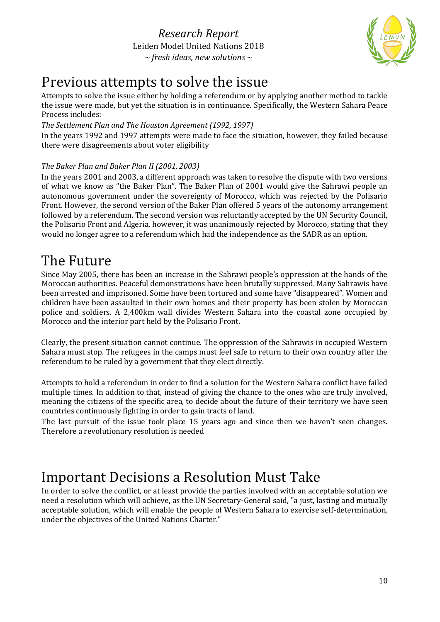

## Previous attempts to solve the issue

Attempts to solve the issue either by holding a referendum or by applying another method to tackle the issue were made, but yet the situation is in continuance. Specifically, the Western Sahara Peace Process includes:

#### *The Settlement Plan and The Houston Agreement (1992, 1997)*

In the years 1992 and 1997 attempts were made to face the situation, however, they failed because there were disagreements about voter eligibility

#### *The Baker Plan and Baker Plan II (2001, 2003)*

In the years 2001 and 2003, a different approach was taken to resolve the dispute with two versions of what we know as "the Baker Plan". The Baker Plan of 2001 would give the Sahrawi people an autonomous government under the sovereignty of Morocco, which was rejected by the Polisario Front. However, the second version of the Baker Plan offered 5 years of the autonomy arrangement followed by a referendum. The second version was reluctantly accepted by the UN Security Council, the Polisario Front and Algeria, however, it was unanimously rejected by Morocco, stating that they would no longer agree to a referendum which had the independence as the SADR as an option.

## The Future

Since May 2005, there has been an increase in the Sahrawi people's oppression at the hands of the Moroccan authorities. Peaceful demonstrations have been brutally suppressed. Many Sahrawis have been arrested and imprisoned. Some have been tortured and some have "disappeared". Women and children have been assaulted in their own homes and their property has been stolen by Moroccan police and soldiers. A 2,400km wall divides Western Sahara into the coastal zone occupied by Morocco and the interior part held by the Polisario Front.

Clearly, the present situation cannot continue. The oppression of the Sahrawis in occupied Western Sahara must stop. The refugees in the camps must feel safe to return to their own country after the referendum to be ruled by a government that they elect directly.

Attempts to hold a referendum in order to find a solution for the Western Sahara conflict have failed multiple times. In addition to that, instead of giving the chance to the ones who are truly involved, meaning the citizens of the specific area, to decide about the future of their territory we have seen countries continuously fighting in order to gain tracts of land.

The last pursuit of the issue took place 15 years ago and since then we haven't seen changes. Therefore a revolutionary resolution is needed

## Important Decisions a Resolution Must Take

In order to solve the conflict, or at least provide the parties involved with an acceptable solution we need a resolution which will achieve, as the UN Secretary-General said, "a just, lasting and mutually acceptable solution, which will enable the people of Western Sahara to exercise self-determination, under the objectives of the United Nations Charter."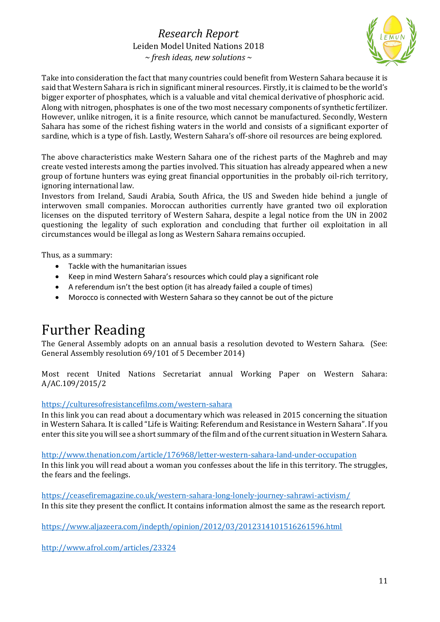

Take into consideration the fact that many countries could benefit from Western Sahara because it is said that Western Sahara is rich in significant mineral resources. Firstly, it is claimed to be the world's bigger exporter of phosphates, which is a valuable and vital chemical derivative of phosphoric acid. Along with nitrogen, phosphates is one of the two most necessary components of synthetic fertilizer. However, unlike nitrogen, it is a finite resource, which cannot be manufactured. Secondly, Western Sahara has some of the richest fishing waters in the world and consists of a significant exporter of sardine, which is a type of fish. Lastly, Western Sahara's off-shore oil resources are being explored.

The above characteristics make Western Sahara one of the richest parts of the Maghreb and may create vested interests among the parties involved. This situation has already appeared when a new group of fortune hunters was eying great financial opportunities in the probably oil-rich territory, ignoring international law.

Investors from Ireland, Saudi Arabia, South Africa, the US and Sweden hide behind a jungle of interwoven small companies. Moroccan authorities currently have granted two oil exploration licenses on the disputed territory of Western Sahara, despite a legal notice from the UN in 2002 questioning the legality of such exploration and concluding that further oil exploitation in all circumstances would be illegal as long as Western Sahara remains occupied.

Thus, as a summary:

- Tackle with the humanitarian issues
- Keep in mind Western Sahara's resources which could play a significant role
- A referendum isn't the best option (it has already failed a couple of times)
- Morocco is connected with Western Sahara so they cannot be out of the picture

## Further Reading

The General Assembly adopts on an annual basis a resolution devoted to Western Sahara. (See: General Assembly resolution 69/101 of 5 December 2014)

Most recent United Nations Secretariat annual Working Paper on Western Sahara: A/AC.109/2015/2

#### <https://culturesofresistancefilms.com/western-sahara>

In this link you can read about a documentary which was released in 2015 concerning the situation in Western Sahara. It is called "Life is Waiting: Referendum and Resistance in Western Sahara". If you enter this site you will see a short summary of the film and of the current situation in Western Sahara.

<http://www.thenation.com/article/176968/letter-western-sahara-land-under-occupation>

In this link you will read about a woman you confesses about the life in this territory. The struggles, the fears and the feelings.

<https://ceasefiremagazine.co.uk/western-sahara-long-lonely-journey-sahrawi-activism/> In this site they present the conflict. It contains information almost the same as the research report.

<https://www.aljazeera.com/indepth/opinion/2012/03/2012314101516261596.html>

<http://www.afrol.com/articles/23324>